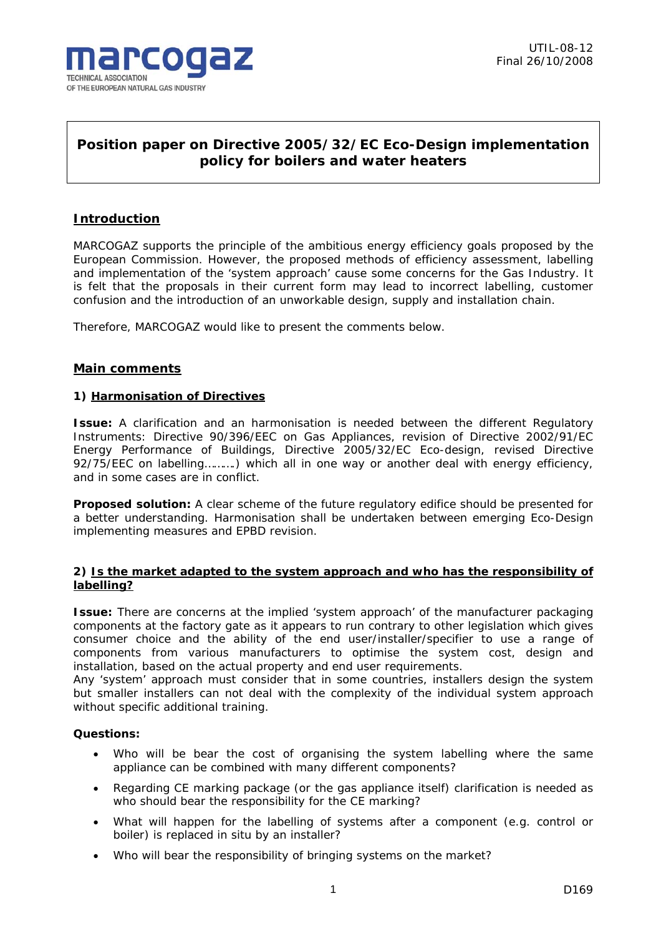

# **Position paper on Directive 2005/32/EC Eco-Design implementation policy for boilers and water heaters**

# **Introduction**

MARCOGAZ supports the principle of the ambitious energy efficiency goals proposed by the European Commission. However, the proposed methods of efficiency assessment, labelling and implementation of the 'system approach' cause some concerns for the Gas Industry. It is felt that the proposals in their current form may lead to incorrect labelling, customer confusion and the introduction of an unworkable design, supply and installation chain.

Therefore, MARCOGAZ would like to present the comments below.

# **Main comments**

## **1) Harmonisation of Directives**

*Issue:* A clarification and an harmonisation is needed between the different Regulatory Instruments: Directive 90/396/EEC on Gas Appliances, revision of Directive 2002/91/EC Energy Performance of Buildings, Directive 2005/32/EC Eco-design, revised Directive 92/75/EEC on labelling……….) which all in one way or another deal with energy efficiency, and in some cases are in conflict.

*Proposed solution:* A clear scheme of the future regulatory edifice should be presented for a better understanding. Harmonisation shall be undertaken between emerging Eco-Design implementing measures and EPBD revision.

## **2) Is the market adapted to the system approach and who has the responsibility of labelling?**

**Issue:** There are concerns at the implied 'system approach' of the manufacturer packaging components at the factory gate as it appears to run contrary to other legislation which gives consumer choice and the ability of the end user/installer/specifier to use a range of components from various manufacturers to optimise the system cost, design and installation, based on the actual property and end user requirements.

Any 'system' approach must consider that in some countries, installers design the system but smaller installers can not deal with the complexity of the individual system approach without specific additional training.

## **Questions:**

- Who will be bear the cost of organising the system labelling where the same appliance can be combined with many different components?
- Regarding CE marking package (or the gas appliance itself) clarification is needed as who should bear the responsibility for the CE marking?
- What will happen for the labelling of systems after a component (e.g. control or boiler) is replaced in situ by an installer?
- Who will bear the responsibility of bringing systems on the market?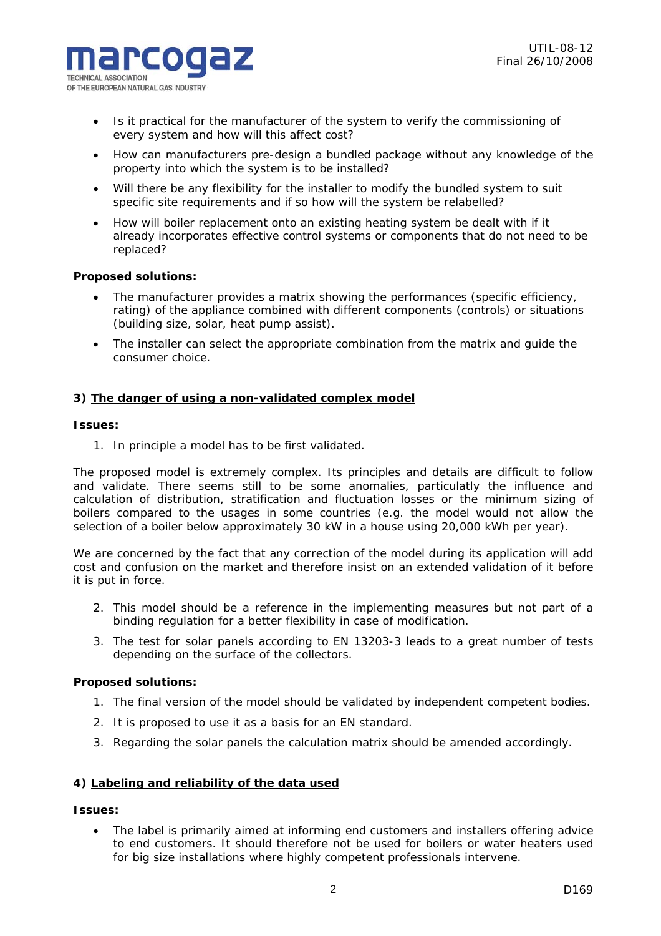

- Is it practical for the manufacturer of the system to verify the commissioning of every system and how will this affect cost?
- How can manufacturers pre-design a bundled package without any knowledge of the property into which the system is to be installed?
- Will there be any flexibility for the installer to modify the bundled system to suit specific site requirements and if so how will the system be relabelled?
- How will boiler replacement onto an existing heating system be dealt with if it already incorporates effective control systems or components that do not need to be replaced?

## *Proposed solutions:*

- The manufacturer provides a matrix showing the performances (specific efficiency, rating) of the appliance combined with different components (controls) or situations (building size, solar, heat pump assist).
- The installer can select the appropriate combination from the matrix and guide the consumer choice.

#### **3) The danger of using a non-validated complex model**

#### *Issues:*

1. In principle a model has to be first validated.

The proposed model is extremely complex. Its principles and details are difficult to follow and validate. There seems still to be some anomalies, particulatly the influence and calculation of distribution, stratification and fluctuation losses or the minimum sizing of boilers compared to the usages in some countries (e.g. the model would not allow the selection of a boiler below approximately 30 kW in a house using 20,000 kWh per year).

We are concerned by the fact that any correction of the model during its application will add cost and confusion on the market and therefore insist on an extended validation of it before it is put in force.

- 2. This model should be a reference in the implementing measures but not part of a binding regulation for a better flexibility in case of modification.
- 3. The test for solar panels according to EN 13203-3 leads to a great number of tests depending on the surface of the collectors.

#### *Proposed solutions:*

- 1. The final version of the model should be validated by independent competent bodies.
- 2. It is proposed to use it as a basis for an EN standard.
- 3. Regarding the solar panels the calculation matrix should be amended accordingly.

## **4) Labeling and reliability of the data used**

# *Issues:*

• The label is primarily aimed at informing end customers and installers offering advice to end customers. It should therefore not be used for boilers or water heaters used for big size installations where highly competent professionals intervene.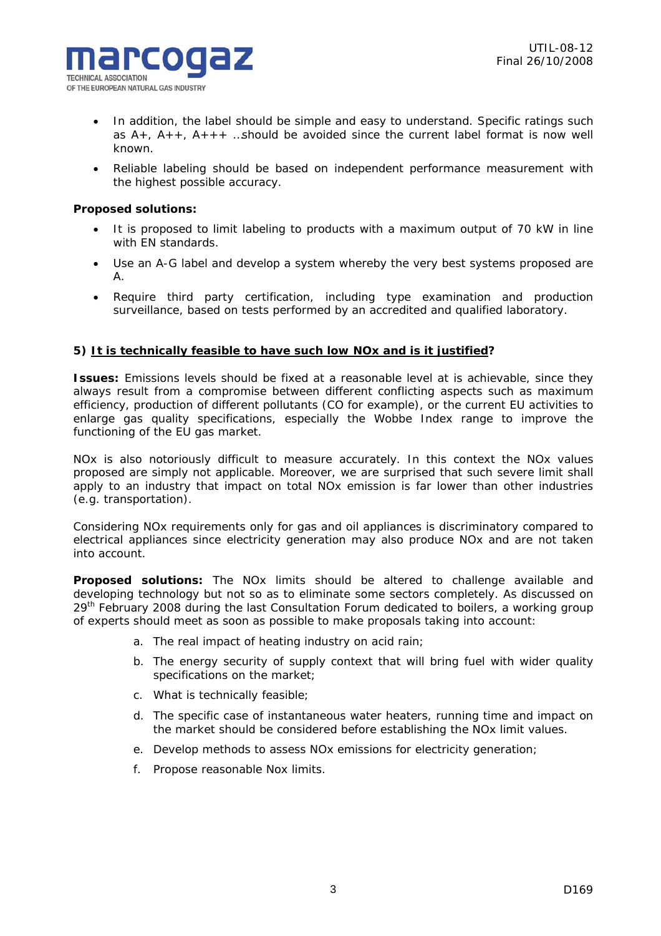- In addition, the label should be simple and easy to understand. Specific ratings such as  $A_{+}$ ,  $A_{++}$ ,  $A_{++}$  ... should be avoided since the current label format is now well known.
- Reliable labeling should be based on independent performance measurement with the highest possible accuracy.

## *Proposed solutions:*

- It is proposed to limit labeling to products with a maximum output of 70 kW in line with EN standards.
- Use an A-G label and develop a system whereby the very best systems proposed are A.
- Require third party certification, including type examination and production surveillance, based on tests performed by an accredited and qualified laboratory.

## **5) It is technically feasible to have such low NOx and is it justified?**

**Issues:** Emissions levels should be fixed at a reasonable level at is achievable, since they always result from a compromise between different conflicting aspects such as maximum efficiency, production of different pollutants (CO for example), or the current EU activities to enlarge gas quality specifications, especially the Wobbe Index range to improve the functioning of the EU gas market.

NOx is also notoriously difficult to measure accurately. In this context the NOx values proposed are simply not applicable. Moreover, we are surprised that such severe limit shall apply to an industry that impact on total NOx emission is far lower than other industries (e.g. transportation).

Considering NOx requirements only for gas and oil appliances is discriminatory compared to electrical appliances since electricity generation may also produce NOx and are not taken into account.

*Proposed solutions:* The NOx limits should be altered to challenge available and developing technology but not so as to eliminate some sectors completely. As discussed on 29<sup>th</sup> February 2008 during the last Consultation Forum dedicated to boilers, a working group of experts should meet as soon as possible to make proposals taking into account:

- a. The real impact of heating industry on acid rain;
- b. The energy security of supply context that will bring fuel with wider quality specifications on the market;
- c. What is technically feasible;
- d. The specific case of instantaneous water heaters, running time and impact on the market should be considered before establishing the NOx limit values.
- e. Develop methods to assess NOx emissions for electricity generation;
- f. Propose reasonable Nox limits.